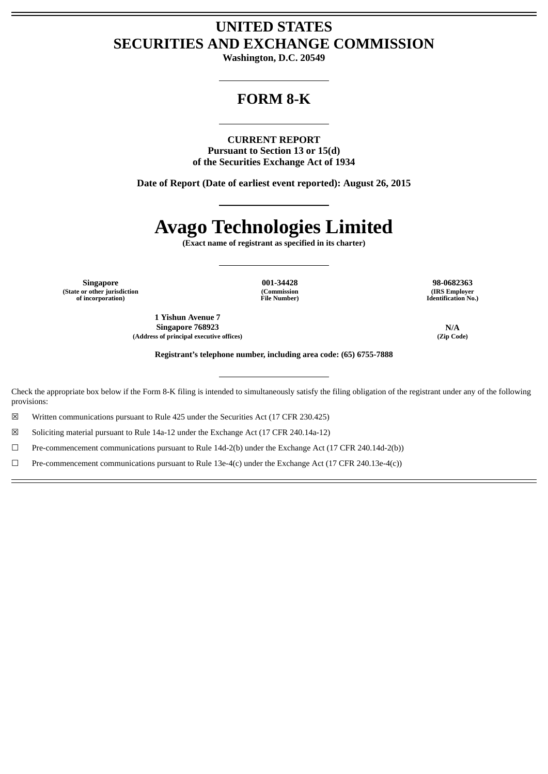# **UNITED STATES SECURITIES AND EXCHANGE COMMISSION**

**Washington, D.C. 20549**

# **FORM 8-K**

**CURRENT REPORT Pursuant to Section 13 or 15(d) of the Securities Exchange Act of 1934**

**Date of Report (Date of earliest event reported): August 26, 2015**

# **Avago Technologies Limited**

**(Exact name of registrant as specified in its charter)**

**Singapore 001-34428 98-0682363 (State or other jurisdiction of incorporation)**

**(Commission File Number)**

**1 Yishun Avenue 7 Singapore 768923 N/A**<br>
so of principal executive offices) (Zip Code) **(Address of principal executive offices) (Zip Code)**

**(IRS Employer Identification No.)**

**Registrant's telephone number, including area code: (65) 6755-7888**

Check the appropriate box below if the Form 8-K filing is intended to simultaneously satisfy the filing obligation of the registrant under any of the following provisions:

☒ Written communications pursuant to Rule 425 under the Securities Act (17 CFR 230.425)

☒ Soliciting material pursuant to Rule 14a-12 under the Exchange Act (17 CFR 240.14a-12)

☐ Pre-commencement communications pursuant to Rule 14d-2(b) under the Exchange Act (17 CFR 240.14d-2(b))

 $\Box$  Pre-commencement communications pursuant to Rule 13e-4(c) under the Exchange Act (17 CFR 240.13e-4(c))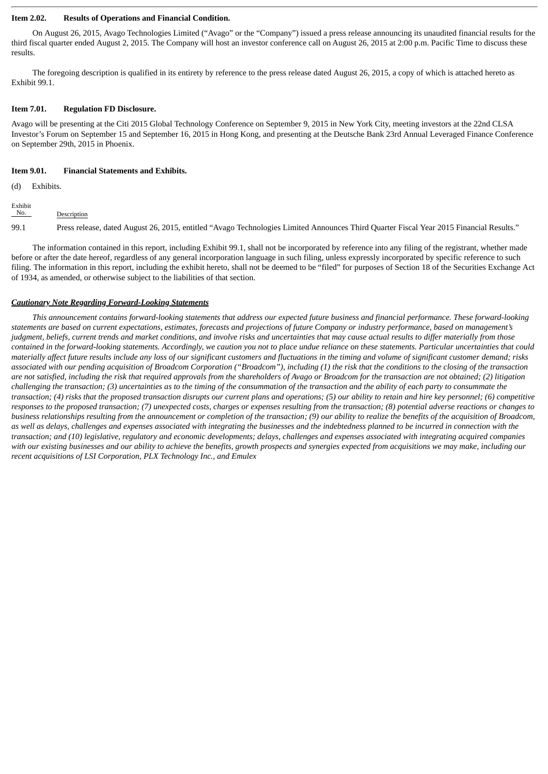# **Item 2.02. Results of Operations and Financial Condition.**

On August 26, 2015, Avago Technologies Limited ("Avago" or the "Company") issued a press release announcing its unaudited financial results for the third fiscal quarter ended August 2, 2015. The Company will host an investor conference call on August 26, 2015 at 2:00 p.m. Pacific Time to discuss these results.

The foregoing description is qualified in its entirety by reference to the press release dated August 26, 2015, a copy of which is attached hereto as Exhibit 99.1.

#### **Item 7.01. Regulation FD Disclosure.**

Avago will be presenting at the Citi 2015 Global Technology Conference on September 9, 2015 in New York City, meeting investors at the 22nd CLSA Investor's Forum on September 15 and September 16, 2015 in Hong Kong, and presenting at the Deutsche Bank 23rd Annual Leveraged Finance Conference on September 29th, 2015 in Phoenix.

#### **Item 9.01. Financial Statements and Exhibits.**

(d) Exhibits.

Exhibit<br>No. Description

99.1 Press release, dated August 26, 2015, entitled "Avago Technologies Limited Announces Third Quarter Fiscal Year 2015 Financial Results."

The information contained in this report, including Exhibit 99.1, shall not be incorporated by reference into any filing of the registrant, whether made before or after the date hereof, regardless of any general incorporation language in such filing, unless expressly incorporated by specific reference to such filing. The information in this report, including the exhibit hereto, shall not be deemed to be "filed" for purposes of Section 18 of the Securities Exchange Act of 1934, as amended, or otherwise subject to the liabilities of that section.

#### *Cautionary Note Regarding Forward-Looking Statements*

This announcement contains forward-looking statements that address our expected future business and financial performance. These forward-looking statements are based on current expectations, estimates, forecasts and projections of future Company or industry performance, based on management's judgment, beliefs, current trends and market conditions, and involve risks and uncertainties that may cause actual results to differ materially from those contained in the forward-looking statements. Accordingly, we caution you not to place undue reliance on these statements. Particular uncertainties that could materially affect future results include any loss of our significant customers and fluctuations in the timing and volume of significant customer demand; risks associated with our pending acquisition of Broadcom Corporation ("Broadcom"), including (1) the risk that the conditions to the closing of the transaction are not satisfied, including the risk that required approvals from the shareholders of Avago or Broadcom for the transaction are not obtained; (2) litigation challenging the transaction; (3) uncertainties as to the timing of the consummation of the transaction and the ability of each party to consummate the transaction; (4) risks that the proposed transaction disrupts our current plans and operations; (5) our ability to retain and hire key personnel; (6) competitive responses to the proposed transaction; (7) unexpected costs, charges or expenses resulting from the transaction; (8) potential adverse reactions or changes to business relationships resulting from the announcement or completion of the transaction; (9) our ability to realize the benefits of the acquisition of Broadcom, as well as delays, challenges and expenses associated with integrating the businesses and the indebtedness planned to be incurred in connection with the transaction; and (10) legislative, regulatory and economic developments; delays, challenges and expenses associated with integrating acquired companies with our existing businesses and our ability to achieve the benefits, growth prospects and synergies expected from acquisitions we may make, including our *recent acquisitions of LSI Corporation, PLX Technology Inc., and Emulex*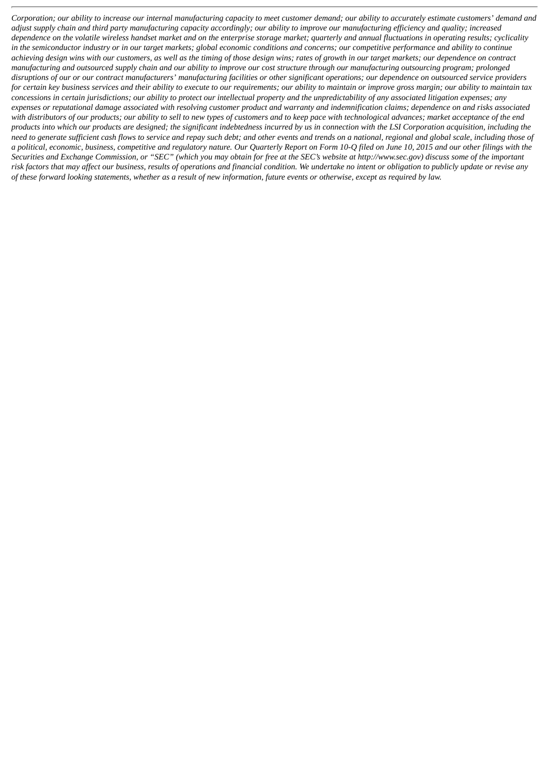Corporation; our ability to increase our internal manufacturing capacity to meet customer demand; our ability to accurately estimate customers' demand and adjust supply chain and third party manufacturing capacity accordingly; our ability to improve our manufacturing efficiency and quality; increased dependence on the volatile wireless handset market and on the enterprise storage market; quarterly and annual fluctuations in operating results; cyclicality in the semiconductor industry or in our target markets; global economic conditions and concerns; our competitive performance and ability to continue achieving design wins with our customers, as well as the timing of those design wins; rates of growth in our target markets; our dependence on contract manufacturing and outsourced supply chain and our ability to improve our cost structure through our manufacturing outsourcing program; prolonged disruptions of our or our contract manufacturers' manufacturing facilities or other significant operations; our dependence on outsourced service providers for certain key business services and their ability to execute to our requirements; our ability to maintain or improve gross margin; our ability to maintain tax concessions in certain jurisdictions; our ability to protect our intellectual property and the unpredictability of any associated litigation expenses; any expenses or reputational damage associated with resolving customer product and warranty and indemnification claims; dependence on and risks associated with distributors of our products; our ability to sell to new types of customers and to keep pace with technological advances; market acceptance of the end products into which our products are designed; the significant indebtedness incurred by us in connection with the LSI Corporation acquisition, including the need to generate sufficient cash flows to service and repay such debt; and other events and trends on a national, regional and global scale, including those of a political, economic, business, competitive and reaulatory nature. Our Quarterly Report on Form 10-Q filed on June 10, 2015 and our other filings with the Securities and Exchange Commission, or "SEC" (which you may obtain for free at the SEC's website at http://www.sec.gov) discuss some of the important risk factors that may affect our business, results of operations and financial condition. We undertake no intent or obligation to publicly update or revise any of these forward looking statements, whether as a result of new information, future events or otherwise, except as required by law.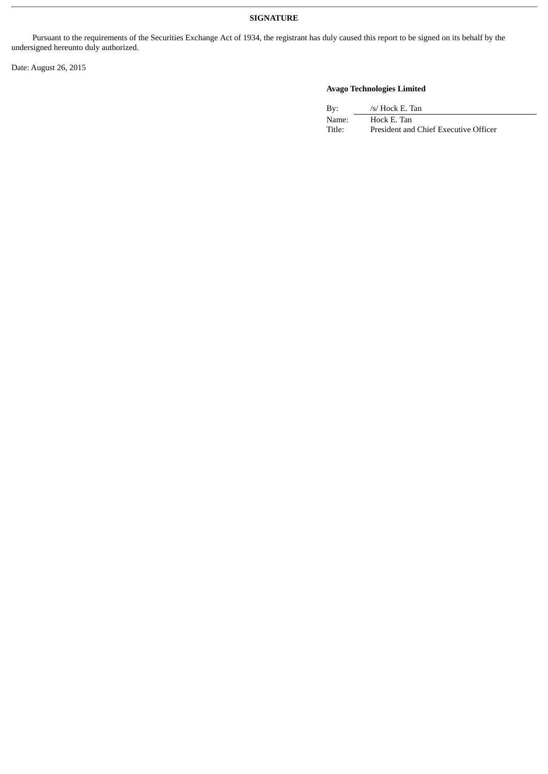# **SIGNATURE**

Pursuant to the requirements of the Securities Exchange Act of 1934, the registrant has duly caused this report to be signed on its behalf by the undersigned hereunto duly authorized.

Date: August 26, 2015

# **Avago Technologies Limited**

| By:    | /s/ Hock E. Tan                       |
|--------|---------------------------------------|
| Name:  | Hock E. Tan                           |
| Title: | President and Chief Executive Officer |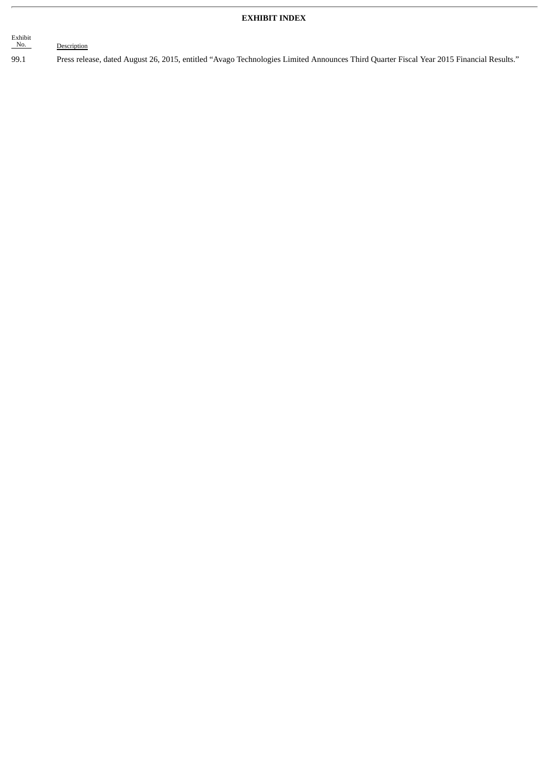# **EXHIBIT INDEX**

 $\underline{\begin{array}{c} \text{Exhibit} \\ \text{No.} \end{array}}$ Description

99.1 Press release, dated August 26, 2015, entitled "Avago Technologies Limited Announces Third Quarter Fiscal Year 2015 Financial Results."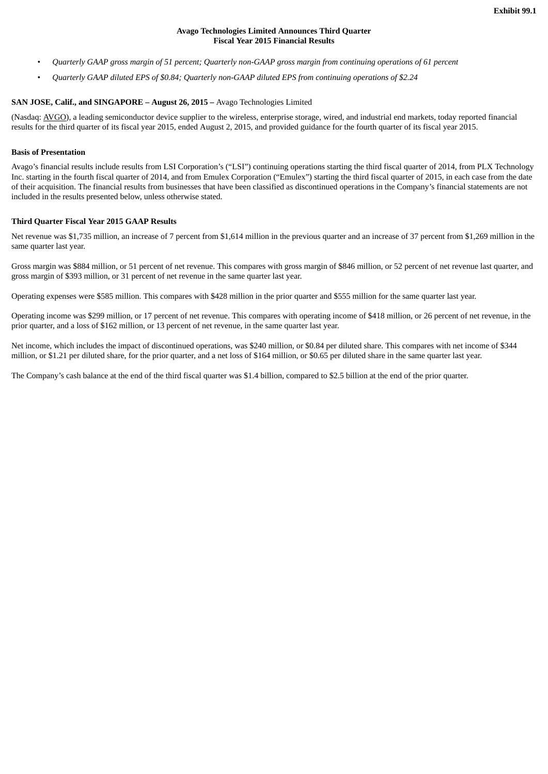- Ouarterly GAAP gross margin of 51 percent; Ouarterly non-GAAP gross margin from continuing operations of 61 percent
- *Quarterly GAAP diluted EPS of \$0.84; Quarterly non-GAAP diluted EPS from continuing operations of \$2.24*

# **SAN JOSE, Calif., and SINGAPORE – August 26, 2015 –** Avago Technologies Limited

(Nasdaq: AVGO), a leading semiconductor device supplier to the wireless, enterprise storage, wired, and industrial end markets, today reported financial results for the third quarter of its fiscal year 2015, ended August 2, 2015, and provided guidance for the fourth quarter of its fiscal year 2015.

# **Basis of Presentation**

Avago's financial results include results from LSI Corporation's ("LSI") continuing operations starting the third fiscal quarter of 2014, from PLX Technology Inc. starting in the fourth fiscal quarter of 2014, and from Emulex Corporation ("Emulex") starting the third fiscal quarter of 2015, in each case from the date of their acquisition. The financial results from businesses that have been classified as discontinued operations in the Company's financial statements are not included in the results presented below, unless otherwise stated.

# **Third Quarter Fiscal Year 2015 GAAP Results**

Net revenue was \$1,735 million, an increase of 7 percent from \$1,614 million in the previous quarter and an increase of 37 percent from \$1,269 million in the same quarter last year.

Gross margin was \$884 million, or 51 percent of net revenue. This compares with gross margin of \$846 million, or 52 percent of net revenue last quarter, and gross margin of \$393 million, or 31 percent of net revenue in the same quarter last year.

Operating expenses were \$585 million. This compares with \$428 million in the prior quarter and \$555 million for the same quarter last year.

Operating income was \$299 million, or 17 percent of net revenue. This compares with operating income of \$418 million, or 26 percent of net revenue, in the prior quarter, and a loss of \$162 million, or 13 percent of net revenue, in the same quarter last year.

Net income, which includes the impact of discontinued operations, was \$240 million, or \$0.84 per diluted share. This compares with net income of \$344 million, or \$1.21 per diluted share, for the prior quarter, and a net loss of \$164 million, or \$0.65 per diluted share in the same quarter last year.

The Company's cash balance at the end of the third fiscal quarter was \$1.4 billion, compared to \$2.5 billion at the end of the prior quarter.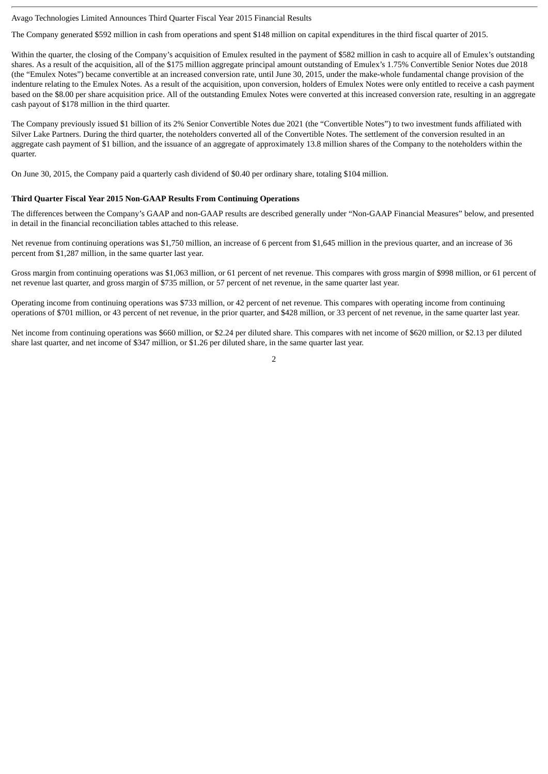The Company generated \$592 million in cash from operations and spent \$148 million on capital expenditures in the third fiscal quarter of 2015.

Within the quarter, the closing of the Company's acquisition of Emulex resulted in the payment of \$582 million in cash to acquire all of Emulex's outstanding shares. As a result of the acquisition, all of the \$175 million aggregate principal amount outstanding of Emulex's 1.75% Convertible Senior Notes due 2018 (the "Emulex Notes") became convertible at an increased conversion rate, until June 30, 2015, under the make-whole fundamental change provision of the indenture relating to the Emulex Notes. As a result of the acquisition, upon conversion, holders of Emulex Notes were only entitled to receive a cash payment based on the \$8.00 per share acquisition price. All of the outstanding Emulex Notes were converted at this increased conversion rate, resulting in an aggregate cash payout of \$178 million in the third quarter.

The Company previously issued \$1 billion of its 2% Senior Convertible Notes due 2021 (the "Convertible Notes") to two investment funds affiliated with Silver Lake Partners. During the third quarter, the noteholders converted all of the Convertible Notes. The settlement of the conversion resulted in an aggregate cash payment of \$1 billion, and the issuance of an aggregate of approximately 13.8 million shares of the Company to the noteholders within the quarter.

On June 30, 2015, the Company paid a quarterly cash dividend of \$0.40 per ordinary share, totaling \$104 million.

#### **Third Quarter Fiscal Year 2015 Non-GAAP Results From Continuing Operations**

The differences between the Company's GAAP and non-GAAP results are described generally under "Non-GAAP Financial Measures" below, and presented in detail in the financial reconciliation tables attached to this release.

Net revenue from continuing operations was \$1,750 million, an increase of 6 percent from \$1,645 million in the previous quarter, and an increase of 36 percent from \$1,287 million, in the same quarter last year.

Gross margin from continuing operations was \$1,063 million, or 61 percent of net revenue. This compares with gross margin of \$998 million, or 61 percent of net revenue last quarter, and gross margin of \$735 million, or 57 percent of net revenue, in the same quarter last year.

Operating income from continuing operations was \$733 million, or 42 percent of net revenue. This compares with operating income from continuing operations of \$701 million, or 43 percent of net revenue, in the prior quarter, and \$428 million, or 33 percent of net revenue, in the same quarter last year.

Net income from continuing operations was \$660 million, or \$2.24 per diluted share. This compares with net income of \$620 million, or \$2.13 per diluted share last quarter, and net income of \$347 million, or \$1.26 per diluted share, in the same quarter last year.

 $\overline{2}$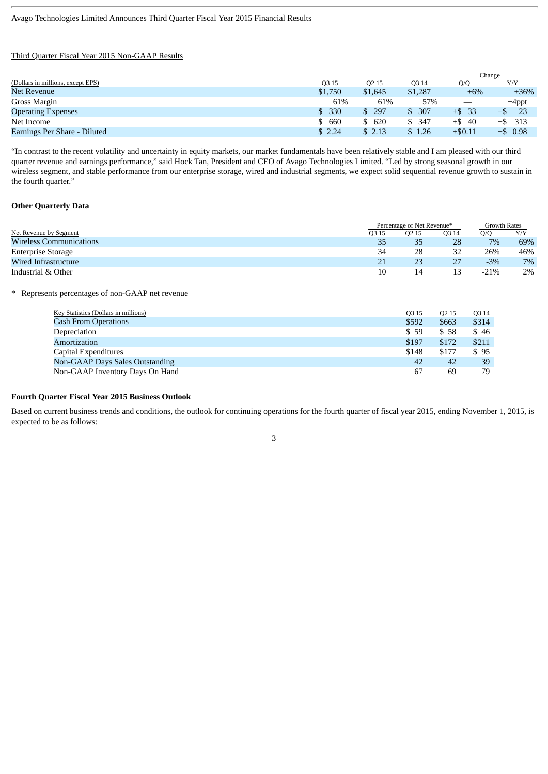# Third Quarter Fiscal Year 2015 Non-GAAP Results

|                                   |         |            |         | Change         |               |
|-----------------------------------|---------|------------|---------|----------------|---------------|
| (Dollars in millions, except EPS) | Q3 15   | Q2 15      | Q3 14   | Q/C            | Y/Y           |
| <b>Net Revenue</b>                | \$1,750 | \$1,645    | \$1,287 | $+6%$          | $+36%$        |
| Gross Margin                      | 61%     | 61%        | 57%     |                | $+4$ ppt      |
| <b>Operating Expenses</b>         | \$330   | 297<br>\$. | 307     | - 33<br>$+$ \$ | 23<br>+\$     |
| Net Income                        | \$ 660  | 620<br>\$  | - 347   | $+$ \$<br>-40  | $+$ \$ 313    |
| Earnings Per Share - Diluted      | \$2.24  | \$2.13     | 1.26    | $+ $0.11$      | 0.98<br>$+\$$ |

"In contrast to the recent volatility and uncertainty in equity markets, our market fundamentals have been relatively stable and I am pleased with our third quarter revenue and earnings performance," said Hock Tan, President and CEO of Avago Technologies Limited. "Led by strong seasonal growth in our wireless segment, and stable performance from our enterprise storage, wired and industrial segments, we expect solid sequential revenue growth to sustain in the fourth quarter."

#### **Other Quarterly Data**

|                                |       | Percentage of Net Revenue* |       |        |       |  |
|--------------------------------|-------|----------------------------|-------|--------|-------|--|
| Net Revenue by Segment         | Q3 15 | Q2 15                      | Q3 14 | Q/Q    | Y/Y   |  |
| <b>Wireless Communications</b> | 35    | 35                         | 28    | 7%     | 69%   |  |
| <b>Enterprise Storage</b>      | 34    | 28                         | 32    | 26%    | 46%   |  |
| Wired Infrastructure           | 21    | 23                         | 27    | $-3%$  | $7\%$ |  |
| Industrial & Other             |       | 4ء                         | 13    | $-21%$ | 2%    |  |

#### \* Represents percentages of non-GAAP net revenue

| Key Statistics (Dollars in millions)   | Q3 15 | Q <sub>2</sub> 15 | Q3 14 |
|----------------------------------------|-------|-------------------|-------|
| <b>Cash From Operations</b>            | \$592 | \$663             | \$314 |
| Depreciation                           | \$ 59 | \$58              | \$46  |
| Amortization                           | \$197 | \$172             | \$211 |
| Capital Expenditures                   | \$148 | \$177             | \$95  |
| <b>Non-GAAP Days Sales Outstanding</b> | 42    | 42                | 39    |
| Non-GAAP Inventory Days On Hand        | 67    | 69                | 79    |

# **Fourth Quarter Fiscal Year 2015 Business Outlook**

Based on current business trends and conditions, the outlook for continuing operations for the fourth quarter of fiscal year 2015, ending November 1, 2015, is expected to be as follows: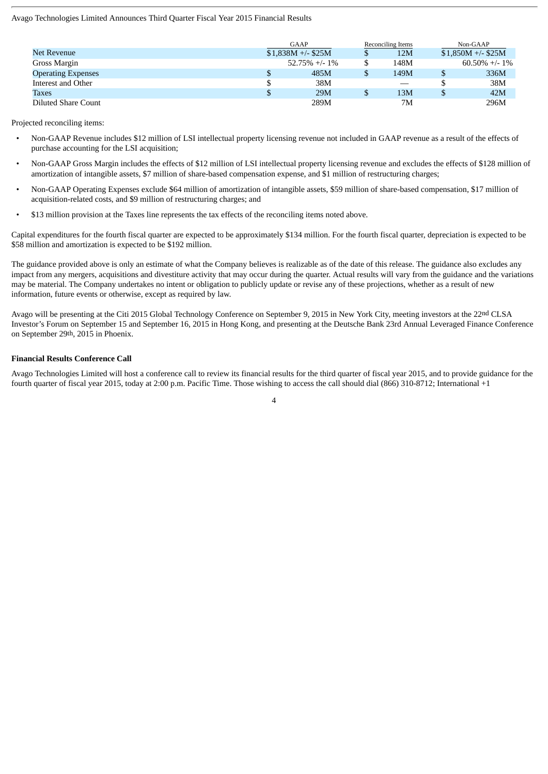|                           | GAAP               |  |                             | Non-GAAP           |
|---------------------------|--------------------|--|-----------------------------|--------------------|
| Net Revenue               | $$1,838M +/- $25M$ |  | 12M                         | $$1,850M +/- $25M$ |
| Gross Margin              | $52.75\% +/- 1\%$  |  | 148M                        | $60.50\% +/- 1\%$  |
| <b>Operating Expenses</b> | 485M               |  | 149M                        | 336M               |
| Interest and Other        | 38M                |  | $\overbrace{\hspace{15em}}$ | 38M                |
| <b>Taxes</b>              | 29M                |  | 13M                         | 42M                |
| Diluted Share Count       | 289M               |  | 7Μ                          | 296M               |

Projected reconciling items:

- Non-GAAP Revenue includes \$12 million of LSI intellectual property licensing revenue not included in GAAP revenue as a result of the effects of purchase accounting for the LSI acquisition;
- Non-GAAP Gross Margin includes the effects of \$12 million of LSI intellectual property licensing revenue and excludes the effects of \$128 million of amortization of intangible assets, \$7 million of share-based compensation expense, and \$1 million of restructuring charges;
- Non-GAAP Operating Expenses exclude \$64 million of amortization of intangible assets, \$59 million of share-based compensation, \$17 million of acquisition-related costs, and \$9 million of restructuring charges; and
- \$13 million provision at the Taxes line represents the tax effects of the reconciling items noted above.

Capital expenditures for the fourth fiscal quarter are expected to be approximately \$134 million. For the fourth fiscal quarter, depreciation is expected to be \$58 million and amortization is expected to be \$192 million.

The guidance provided above is only an estimate of what the Company believes is realizable as of the date of this release. The guidance also excludes any impact from any mergers, acquisitions and divestiture activity that may occur during the quarter. Actual results will vary from the guidance and the variations may be material. The Company undertakes no intent or obligation to publicly update or revise any of these projections, whether as a result of new information, future events or otherwise, except as required by law.

Avago will be presenting at the Citi 2015 Global Technology Conference on September 9, 2015 in New York City, meeting investors at the 22nd CLSA Investor's Forum on September 15 and September 16, 2015 in Hong Kong, and presenting at the Deutsche Bank 23rd Annual Leveraged Finance Conference on September 29th, 2015 in Phoenix.

# **Financial Results Conference Call**

Avago Technologies Limited will host a conference call to review its financial results for the third quarter of fiscal year 2015, and to provide guidance for the fourth quarter of fiscal year 2015, today at 2:00 p.m. Pacific Time. Those wishing to access the call should dial (866) 310-8712; International +1

4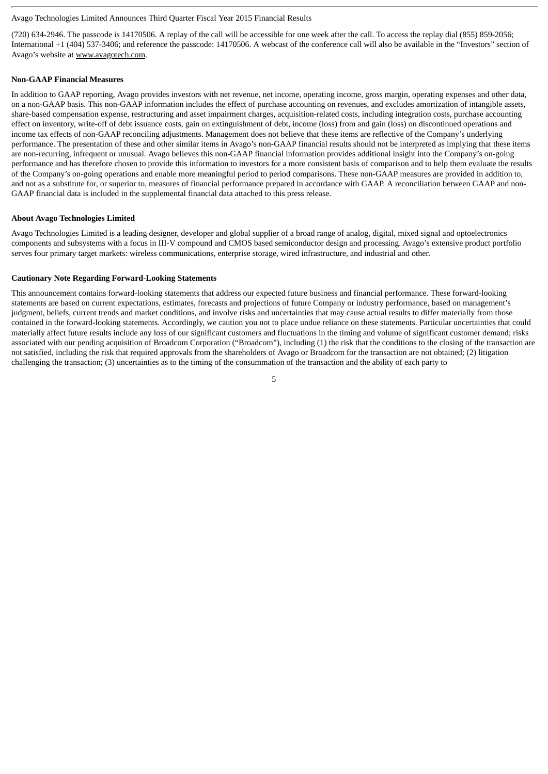(720) 634-2946. The passcode is 14170506. A replay of the call will be accessible for one week after the call. To access the replay dial (855) 859-2056; International +1 (404) 537-3406; and reference the passcode: 14170506. A webcast of the conference call will also be available in the "Investors" section of Avago's website at www.avagotech.com.

#### **Non-GAAP Financial Measures**

In addition to GAAP reporting, Avago provides investors with net revenue, net income, operating income, gross margin, operating expenses and other data, on a non-GAAP basis. This non-GAAP information includes the effect of purchase accounting on revenues, and excludes amortization of intangible assets, share-based compensation expense, restructuring and asset impairment charges, acquisition-related costs, including integration costs, purchase accounting effect on inventory, write-off of debt issuance costs, gain on extinguishment of debt, income (loss) from and gain (loss) on discontinued operations and income tax effects of non-GAAP reconciling adjustments. Management does not believe that these items are reflective of the Company's underlying performance. The presentation of these and other similar items in Avago's non-GAAP financial results should not be interpreted as implying that these items are non-recurring, infrequent or unusual. Avago believes this non-GAAP financial information provides additional insight into the Company's on-going performance and has therefore chosen to provide this information to investors for a more consistent basis of comparison and to help them evaluate the results of the Company's on-going operations and enable more meaningful period to period comparisons. These non-GAAP measures are provided in addition to, and not as a substitute for, or superior to, measures of financial performance prepared in accordance with GAAP. A reconciliation between GAAP and non-GAAP financial data is included in the supplemental financial data attached to this press release.

# **About Avago Technologies Limited**

Avago Technologies Limited is a leading designer, developer and global supplier of a broad range of analog, digital, mixed signal and optoelectronics components and subsystems with a focus in III-V compound and CMOS based semiconductor design and processing. Avago's extensive product portfolio serves four primary target markets: wireless communications, enterprise storage, wired infrastructure, and industrial and other.

#### **Cautionary Note Regarding Forward-Looking Statements**

This announcement contains forward-looking statements that address our expected future business and financial performance. These forward-looking statements are based on current expectations, estimates, forecasts and projections of future Company or industry performance, based on management's judgment, beliefs, current trends and market conditions, and involve risks and uncertainties that may cause actual results to differ materially from those contained in the forward-looking statements. Accordingly, we caution you not to place undue reliance on these statements. Particular uncertainties that could materially affect future results include any loss of our significant customers and fluctuations in the timing and volume of significant customer demand; risks associated with our pending acquisition of Broadcom Corporation ("Broadcom"), including (1) the risk that the conditions to the closing of the transaction are not satisfied, including the risk that required approvals from the shareholders of Avago or Broadcom for the transaction are not obtained; (2) litigation challenging the transaction; (3) uncertainties as to the timing of the consummation of the transaction and the ability of each party to

5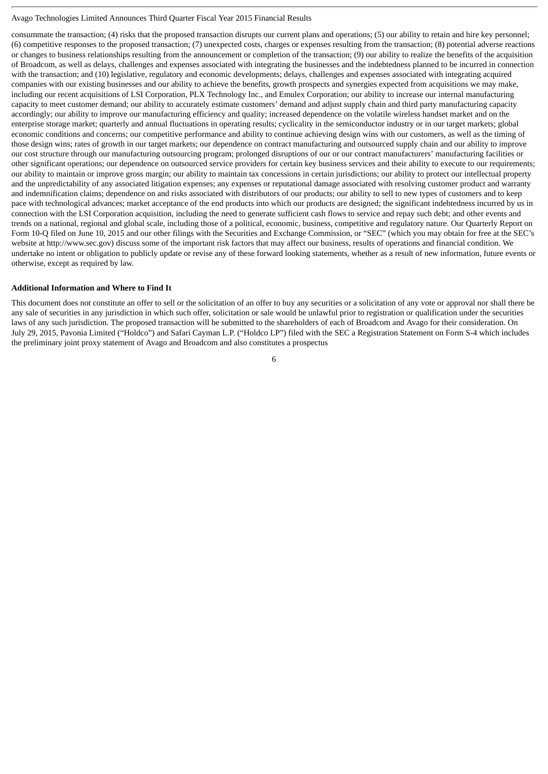consummate the transaction; (4) risks that the proposed transaction disrupts our current plans and operations; (5) our ability to retain and hire key personnel; (6) competitive responses to the proposed transaction; (7) unexpected costs, charges or expenses resulting from the transaction; (8) potential adverse reactions or changes to business relationships resulting from the announcement or completion of the transaction; (9) our ability to realize the benefits of the acquisition of Broadcom, as well as delays, challenges and expenses associated with integrating the businesses and the indebtedness planned to be incurred in connection with the transaction; and (10) legislative, regulatory and economic developments; delays, challenges and expenses associated with integrating acquired companies with our existing businesses and our ability to achieve the benefits, growth prospects and synergies expected from acquisitions we may make, including our recent acquisitions of LSI Corporation, PLX Technology Inc., and Emulex Corporation; our ability to increase our internal manufacturing capacity to meet customer demand; our ability to accurately estimate customers' demand and adjust supply chain and third party manufacturing capacity accordingly; our ability to improve our manufacturing efficiency and quality; increased dependence on the volatile wireless handset market and on the enterprise storage market; quarterly and annual fluctuations in operating results; cyclicality in the semiconductor industry or in our target markets; global economic conditions and concerns; our competitive performance and ability to continue achieving design wins with our customers, as well as the timing of those design wins; rates of growth in our target markets; our dependence on contract manufacturing and outsourced supply chain and our ability to improve our cost structure through our manufacturing outsourcing program; prolonged disruptions of our or our contract manufacturers' manufacturing facilities or other significant operations; our dependence on outsourced service providers for certain key business services and their ability to execute to our requirements; our ability to maintain or improve gross margin; our ability to maintain tax concessions in certain jurisdictions; our ability to protect our intellectual property and the unpredictability of any associated litigation expenses; any expenses or reputational damage associated with resolving customer product and warranty and indemnification claims; dependence on and risks associated with distributors of our products; our ability to sell to new types of customers and to keep pace with technological advances; market acceptance of the end products into which our products are designed; the significant indebtedness incurred by us in connection with the LSI Corporation acquisition, including the need to generate sufficient cash flows to service and repay such debt; and other events and trends on a national, regional and global scale, including those of a political, economic, business, competitive and regulatory nature. Our Quarterly Report on Form 10-Q filed on June 10, 2015 and our other filings with the Securities and Exchange Commission, or "SEC" (which you may obtain for free at the SEC's website at http://www.sec.gov) discuss some of the important risk factors that may affect our business, results of operations and financial condition. We undertake no intent or obligation to publicly update or revise any of these forward looking statements, whether as a result of new information, future events or otherwise, except as required by law.

#### **Additional Information and Where to Find It**

This document does not constitute an offer to sell or the solicitation of an offer to buy any securities or a solicitation of any vote or approval nor shall there be any sale of securities in any jurisdiction in which such offer, solicitation or sale would be unlawful prior to registration or qualification under the securities laws of any such jurisdiction. The proposed transaction will be submitted to the shareholders of each of Broadcom and Avago for their consideration. On July 29, 2015, Pavonia Limited ("Holdco") and Safari Cayman L.P. ("Holdco LP") filed with the SEC a Registration Statement on Form S-4 which includes the preliminary joint proxy statement of Avago and Broadcom and also constitutes a prospectus

6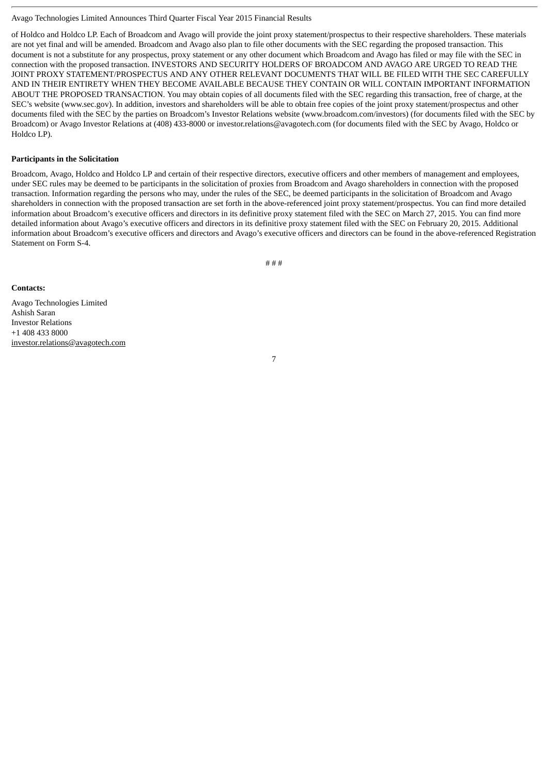of Holdco and Holdco LP. Each of Broadcom and Avago will provide the joint proxy statement/prospectus to their respective shareholders. These materials are not yet final and will be amended. Broadcom and Avago also plan to file other documents with the SEC regarding the proposed transaction. This document is not a substitute for any prospectus, proxy statement or any other document which Broadcom and Avago has filed or may file with the SEC in connection with the proposed transaction. INVESTORS AND SECURITY HOLDERS OF BROADCOM AND AVAGO ARE URGED TO READ THE JOINT PROXY STATEMENT/PROSPECTUS AND ANY OTHER RELEVANT DOCUMENTS THAT WILL BE FILED WITH THE SEC CAREFULLY AND IN THEIR ENTIRETY WHEN THEY BECOME AVAILABLE BECAUSE THEY CONTAIN OR WILL CONTAIN IMPORTANT INFORMATION ABOUT THE PROPOSED TRANSACTION. You may obtain copies of all documents filed with the SEC regarding this transaction, free of charge, at the SEC's website (www.sec.gov). In addition, investors and shareholders will be able to obtain free copies of the joint proxy statement/prospectus and other documents filed with the SEC by the parties on Broadcom's Investor Relations website (www.broadcom.com/investors) (for documents filed with the SEC by Broadcom) or Avago Investor Relations at (408) 433-8000 or investor.relations@avagotech.com (for documents filed with the SEC by Avago, Holdco or Holdco LP).

#### **Participants in the Solicitation**

Broadcom, Avago, Holdco and Holdco LP and certain of their respective directors, executive officers and other members of management and employees, under SEC rules may be deemed to be participants in the solicitation of proxies from Broadcom and Avago shareholders in connection with the proposed transaction. Information regarding the persons who may, under the rules of the SEC, be deemed participants in the solicitation of Broadcom and Avago shareholders in connection with the proposed transaction are set forth in the above-referenced joint proxy statement/prospectus. You can find more detailed information about Broadcom's executive officers and directors in its definitive proxy statement filed with the SEC on March 27, 2015. You can find more detailed information about Avago's executive officers and directors in its definitive proxy statement filed with the SEC on February 20, 2015. Additional information about Broadcom's executive officers and directors and Avago's executive officers and directors can be found in the above-referenced Registration Statement on Form S-4.

# # #

7

#### **Contacts:**

Avago Technologies Limited Ashish Saran Investor Relations +1 408 433 8000 investor.relations@avagotech.com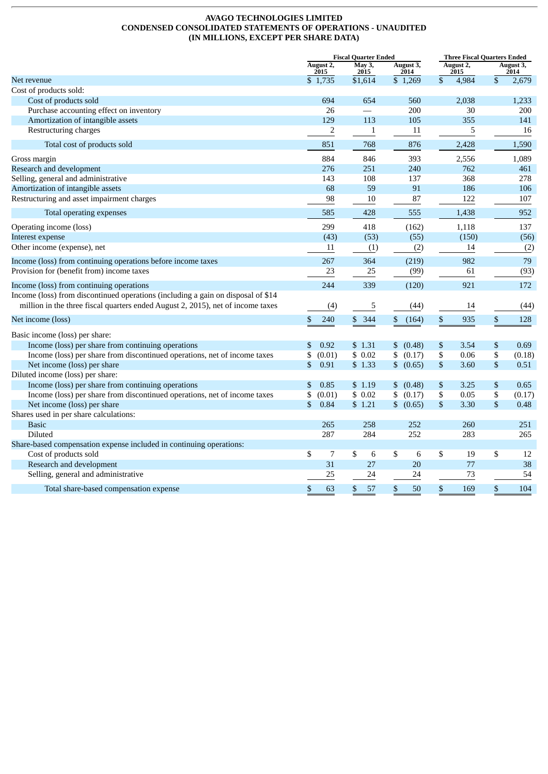# **AVAGO TECHNOLOGIES LIMITED CONDENSED CONSOLIDATED STATEMENTS OF OPERATIONS - UNAUDITED (IN MILLIONS, EXCEPT PER SHARE DATA)**

|                                                                                                                                                                     |                    | <b>Fiscal Quarter Ended</b> |                       |                       | <b>Three Fiscal Quarters Ended</b> |                   |  |  |
|---------------------------------------------------------------------------------------------------------------------------------------------------------------------|--------------------|-----------------------------|-----------------------|-----------------------|------------------------------------|-------------------|--|--|
|                                                                                                                                                                     | August 2,<br>2015  | May $3,$<br>2015            | August 3,<br>2014     | August 2,<br>2015     |                                    | August 3,<br>2014 |  |  |
| Net revenue                                                                                                                                                         | $\overline{1,735}$ | \$1.614                     | $\overline{1,269}$    | $\mathbb{S}$<br>4.984 | \$                                 | 2,679             |  |  |
| Cost of products sold:                                                                                                                                              |                    |                             |                       |                       |                                    |                   |  |  |
| Cost of products sold                                                                                                                                               | 694                | 654                         | 560                   | 2,038                 |                                    | 1,233             |  |  |
| Purchase accounting effect on inventory                                                                                                                             | 26                 |                             | 200                   | 30                    |                                    | 200               |  |  |
| Amortization of intangible assets                                                                                                                                   | 129                | 113                         | 105                   | 355                   |                                    | 141               |  |  |
| Restructuring charges                                                                                                                                               | $\sqrt{2}$         | $\mathbf{1}$                | 11                    | 5                     |                                    | 16                |  |  |
| Total cost of products sold                                                                                                                                         | 851                | 768                         | 876                   | 2,428                 |                                    | 1,590             |  |  |
| Gross margin                                                                                                                                                        | 884                | 846                         | 393                   | 2,556                 |                                    | 1,089             |  |  |
| Research and development                                                                                                                                            | 276                | 251                         | 240                   | 762                   |                                    | 461               |  |  |
| Selling, general and administrative                                                                                                                                 | 143                | 108                         | 137                   | 368                   |                                    | 278               |  |  |
| Amortization of intangible assets                                                                                                                                   | 68                 | 59                          | 91                    | 186                   |                                    | 106               |  |  |
| Restructuring and asset impairment charges                                                                                                                          | 98                 | 10                          | 87                    | 122                   |                                    | 107               |  |  |
| <b>Total operating expenses</b>                                                                                                                                     | 585                | 428                         | 555                   | 1,438                 |                                    | 952               |  |  |
| Operating income (loss)                                                                                                                                             | 299                | 418                         | (162)                 | 1,118                 |                                    | 137               |  |  |
| Interest expense                                                                                                                                                    | (43)               | (53)                        | (55)                  | (150)                 |                                    | (56)              |  |  |
| Other income (expense), net                                                                                                                                         | 11                 | (1)                         | (2)                   | 14                    |                                    | (2)               |  |  |
| Income (loss) from continuing operations before income taxes                                                                                                        | 267                | 364                         | (219)                 | 982                   |                                    | 79                |  |  |
| Provision for (benefit from) income taxes                                                                                                                           | 23                 | 25                          | (99)                  | 61                    |                                    | (93)              |  |  |
| Income (loss) from continuing operations                                                                                                                            | 244                | 339                         | (120)                 | 921                   |                                    | 172               |  |  |
| Income (loss) from discontinued operations (including a gain on disposal of \$14<br>million in the three fiscal quarters ended August 2, 2015), net of income taxes | (4)                | 5                           | (44)                  | 14                    |                                    | (44)              |  |  |
| Net income (loss)                                                                                                                                                   | 240<br>\$          | \$344                       | $\mathbb{S}$<br>(164) | \$<br>935             | \$                                 | 128               |  |  |
| Basic income (loss) per share:                                                                                                                                      |                    |                             |                       |                       |                                    |                   |  |  |
| Income (loss) per share from continuing operations                                                                                                                  | 0.92               | \$1.31                      | \$ (0.48)             | \$<br>3.54            | \$                                 | 0.69              |  |  |
| Income (loss) per share from discontinued operations, net of income taxes                                                                                           | (0.01)<br>\$       | \$0.02                      | (0.17)<br>\$          | \$<br>0.06            | \$                                 | (0.18)            |  |  |
| Net income (loss) per share                                                                                                                                         | \$<br>0.91         | \$1.33                      | \$ (0.65)             | \$<br>3.60            | \$                                 | 0.51              |  |  |
| Diluted income (loss) per share:                                                                                                                                    |                    |                             |                       |                       |                                    |                   |  |  |
| Income (loss) per share from continuing operations                                                                                                                  | 0.85<br>\$         | \$1.19                      | \$ (0.48)             | \$<br>3.25            | \$                                 | 0.65              |  |  |
| Income (loss) per share from discontinued operations, net of income taxes                                                                                           | (0.01)<br>\$       | \$0.02                      | \$<br>(0.17)          | \$<br>0.05            | \$                                 | (0.17)            |  |  |
| Net income (loss) per share                                                                                                                                         | \$<br>0.84         | \$1.21                      | \$ (0.65)             | \$<br>3.30            | \$                                 | 0.48              |  |  |
| Shares used in per share calculations:                                                                                                                              |                    |                             |                       |                       |                                    |                   |  |  |
| <b>Basic</b>                                                                                                                                                        | 265                | 258                         | 252                   | 260                   |                                    | 251               |  |  |
| Diluted                                                                                                                                                             | 287                | 284                         | 252                   | 283                   |                                    | 265               |  |  |
| Share-based compensation expense included in continuing operations:                                                                                                 |                    |                             |                       |                       |                                    |                   |  |  |
| Cost of products sold                                                                                                                                               | \$<br>7            | \$<br>6                     | \$<br>6               | \$<br>19              | \$                                 | 12                |  |  |
| Research and development                                                                                                                                            | 31                 | 27                          | 20                    | 77                    |                                    | 38                |  |  |
| Selling, general and administrative                                                                                                                                 | 25                 | 24                          | 24                    | 73                    |                                    | 54                |  |  |
| Total share-based compensation expense                                                                                                                              | 63<br>\$           | 57<br>\$                    | \$<br>50              | \$<br>169             | \$                                 | 104               |  |  |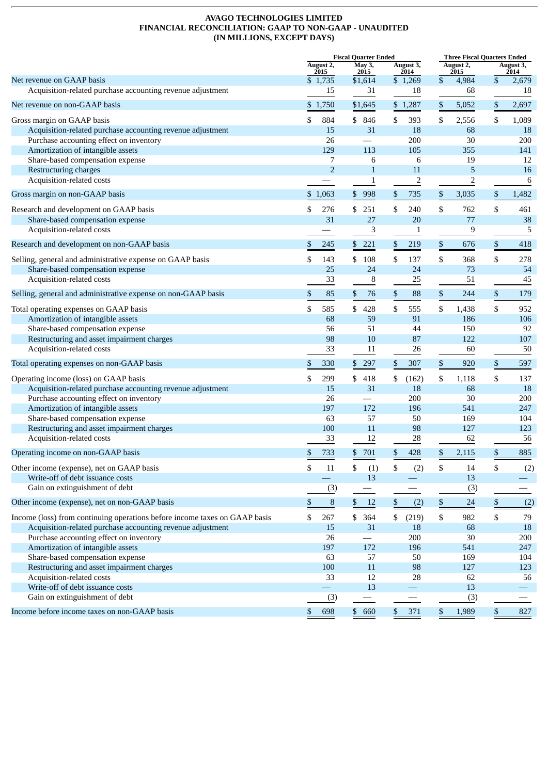# **AVAGO TECHNOLOGIES LIMITED FINANCIAL RECONCILIATION: GAAP TO NON-GAAP - UNAUDITED (IN MILLIONS, EXCEPT DAYS)**

|                                                                            |                   | <b>Fiscal Quarter Ended</b> |                                                      | <b>Three Fiscal Quarters Ended</b> |    |                   |
|----------------------------------------------------------------------------|-------------------|-----------------------------|------------------------------------------------------|------------------------------------|----|-------------------|
|                                                                            | August 2,<br>2015 | May $3$ ,<br>2015           | August $3,$<br>2014                                  | August 2,<br>2015                  |    | August 3,<br>2014 |
| Net revenue on GAAP basis                                                  | \$1,735           | \$1,614                     | $\overline{\$}$ 1,269                                | \$<br>4,984                        | \$ | 2,679             |
| Acquisition-related purchase accounting revenue adjustment                 | 15                | 31                          | 18                                                   | 68                                 |    | 18                |
| Net revenue on non-GAAP basis                                              | \$1,750           | \$1,645                     | \$1,287                                              | \$<br>5,052                        | \$ | 2,697             |
| Gross margin on GAAP basis                                                 | 884<br>\$         | \$ 846                      | \$<br>393                                            | \$<br>2,556                        | \$ | 1,089             |
| Acquisition-related purchase accounting revenue adjustment                 | 15                | 31                          | 18                                                   | 68                                 |    | 18                |
| Purchase accounting effect on inventory                                    | 26                |                             | 200                                                  | 30                                 |    | 200               |
| Amortization of intangible assets                                          | 129               | 113                         | 105                                                  | 355                                |    | 141               |
| Share-based compensation expense                                           | 7                 | 6                           | $\,6\,$                                              | 19                                 |    | 12                |
| Restructuring charges                                                      | $\overline{2}$    | $\mathbf{1}$                | 11                                                   | 5                                  |    | 16                |
| Acquisition-related costs                                                  |                   | $\mathbf{1}$                | $\overline{c}$                                       | 2                                  |    | 6                 |
|                                                                            |                   |                             |                                                      |                                    |    |                   |
| Gross margin on non-GAAP basis                                             | \$1,063           | \$<br>998                   | \$<br>735                                            | \$<br>3,035                        | \$ | 1,482             |
| Research and development on GAAP basis                                     | 276<br>\$         | \$<br>251                   | \$<br>240                                            | \$<br>762                          | \$ | 461               |
| Share-based compensation expense                                           | 31                | 27                          | 20                                                   | 77                                 |    | 38                |
| Acquisition-related costs                                                  |                   | 3                           | $\mathbf{1}$                                         | 9                                  |    | 5                 |
| Research and development on non-GAAP basis                                 | \$<br>245         | $\mathbb{S}$<br>221         | $\, \, \raisebox{12pt}{$\scriptstyle \circ$}$<br>219 | \$<br>676                          | \$ | 418               |
|                                                                            |                   |                             |                                                      |                                    |    |                   |
| Selling, general and administrative expense on GAAP basis                  | \$<br>143         | \$<br>108                   | \$<br>137                                            | \$<br>368                          | \$ | 278               |
| Share-based compensation expense                                           | 25                | 24                          | 24                                                   | 73                                 |    | 54                |
| Acquisition-related costs                                                  | 33                | 8                           | 25                                                   | 51                                 |    | 45                |
| Selling, general and administrative expense on non-GAAP basis              | 85<br>\$          | \$<br>76                    | \$<br>88                                             | \$<br>244                          | \$ | 179               |
| Total operating expenses on GAAP basis                                     | \$<br>585         | \$<br>428                   | \$<br>555                                            | \$<br>1,438                        | \$ | 952               |
| Amortization of intangible assets                                          | 68                | 59                          | 91                                                   | 186                                |    | 106               |
| Share-based compensation expense                                           | 56                | 51                          | 44                                                   | 150                                |    | 92                |
| Restructuring and asset impairment charges                                 | 98                | 10                          | 87                                                   | 122                                |    | 107               |
| Acquisition-related costs                                                  | 33                | 11                          | 26                                                   | 60                                 |    | 50                |
| Total operating expenses on non-GAAP basis                                 | \$<br>330         | \$<br>297                   | \$<br>307                                            | \$<br>920                          | \$ | 597               |
| Operating income (loss) on GAAP basis                                      | \$<br>299         | \$<br>418                   | \$<br>(162)                                          | \$<br>1,118                        | \$ | 137               |
| Acquisition-related purchase accounting revenue adjustment                 | 15                | 31                          | 18                                                   | 68                                 |    | 18                |
| Purchase accounting effect on inventory                                    | 26                |                             | 200                                                  | 30                                 |    | 200               |
| Amortization of intangible assets                                          | 197               | 172                         | 196                                                  | 541                                |    | 247               |
| Share-based compensation expense                                           | 63                | 57                          | 50                                                   | 169                                |    | 104               |
| Restructuring and asset impairment charges                                 | 100               | 11                          | 98                                                   | 127                                |    | 123               |
| Acquisition-related costs                                                  | 33                | 12                          | 28                                                   | 62                                 |    | 56                |
|                                                                            |                   |                             |                                                      |                                    |    |                   |
| Operating income on non-GAAP basis                                         | 733<br>\$         | \$<br>701                   | \$<br>428                                            | \$<br>2,115                        | \$ | 885               |
| Other income (expense), net on GAAP basis                                  | \$<br>11          | \$<br>(1)                   | \$<br>(2)                                            | \$<br>14                           | \$ | (2)               |
| Write-off of debt issuance costs                                           |                   | 13                          |                                                      | 13                                 |    |                   |
| Gain on extinguishment of debt                                             | (3)               |                             |                                                      | (3)                                |    |                   |
| Other income (expense), net on non-GAAP basis                              | \$<br>$\bf 8$     | \$<br>12                    | $\,$<br>(2)                                          | $\$$<br>24                         | \$ | (2)               |
| Income (loss) from continuing operations before income taxes on GAAP basis | \$<br>267         | \$<br>364                   | \$<br>(219)                                          | \$<br>982                          | \$ | 79                |
| Acquisition-related purchase accounting revenue adjustment                 | 15                | 31                          | 18                                                   | 68                                 |    | 18                |
| Purchase accounting effect on inventory                                    | 26                | $\overline{\phantom{0}}$    | 200                                                  | 30                                 |    | 200               |
| Amortization of intangible assets                                          | 197               | 172                         | 196                                                  | 541                                |    | 247               |
| Share-based compensation expense                                           | 63                | 57                          | 50                                                   | 169                                |    | 104               |
| Restructuring and asset impairment charges                                 | 100               | 11                          | 98                                                   | 127                                |    | 123               |
| Acquisition-related costs                                                  | 33                | 12                          | 28                                                   | 62                                 |    | 56                |
| Write-off of debt issuance costs                                           |                   | 13                          |                                                      | 13                                 |    |                   |
| Gain on extinguishment of debt                                             |                   |                             |                                                      |                                    |    |                   |
|                                                                            | (3)               | $\overline{\phantom{0}}$    | —                                                    | (3)                                |    |                   |
| Income before income taxes on non-GAAP basis                               | 698<br>\$         | \$660                       | 371<br>$\mathfrak{S}$                                | \$<br>1,989                        | \$ | 827               |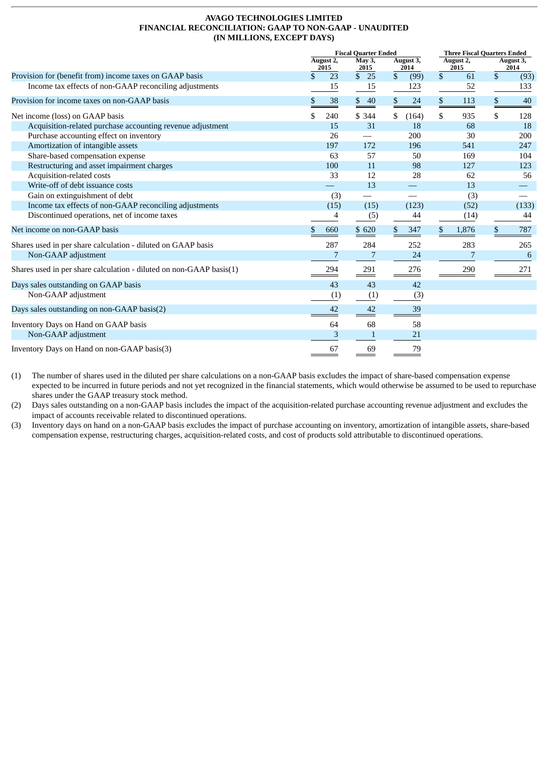# **AVAGO TECHNOLOGIES LIMITED FINANCIAL RECONCILIATION: GAAP TO NON-GAAP - UNAUDITED (IN MILLIONS, EXCEPT DAYS)**

|                                                                     |              |                   | <b>Fiscal Quarter Ended</b> |                |                   | <b>Three Fiscal Quarters Ended</b> |                   |     |                   |  |
|---------------------------------------------------------------------|--------------|-------------------|-----------------------------|----------------|-------------------|------------------------------------|-------------------|-----|-------------------|--|
|                                                                     |              | August 2,<br>2015 | May 3,<br>2015              |                | August 3,<br>2014 |                                    | August 2,<br>2015 |     | August 3,<br>2014 |  |
| Provision for (benefit from) income taxes on GAAP basis             | $\mathbb{S}$ | 23                | $\overline{\$}$ 25          | $\mathfrak{S}$ | (99)              | $\mathbb{S}$                       | 61                | \$  | (93)              |  |
| Income tax effects of non-GAAP reconciling adjustments              |              | 15                | 15                          |                | 123               |                                    | 52                |     | 133               |  |
| Provision for income taxes on non-GAAP basis                        | \$           | 38                | \$<br>40                    | \$.            | 24                | \$.                                | 113               | \$. | 40                |  |
| Net income (loss) on GAAP basis                                     | \$           | 240               | \$ 344                      | \$             | (164)             | \$                                 | 935               | \$  | 128               |  |
| Acquisition-related purchase accounting revenue adjustment          |              | 15                | 31                          |                | 18                |                                    | 68                |     | 18                |  |
| Purchase accounting effect on inventory                             |              | 26                |                             |                | 200               |                                    | 30                |     | 200               |  |
| Amortization of intangible assets                                   |              | 197               | 172                         |                | 196               |                                    | 541               |     | 247               |  |
| Share-based compensation expense                                    |              | 63                | 57                          |                | 50                |                                    | 169               |     | 104               |  |
| Restructuring and asset impairment charges                          |              | 100               | 11                          |                | 98                |                                    | 127               |     | 123               |  |
| Acquisition-related costs                                           |              | 33                | 12                          |                | 28                |                                    | 62                |     | 56                |  |
| Write-off of debt issuance costs                                    |              |                   | 13                          |                |                   |                                    | 13                |     |                   |  |
| Gain on extinguishment of debt                                      |              | (3)               |                             |                |                   |                                    | (3)               |     |                   |  |
| Income tax effects of non-GAAP reconciling adjustments              |              | (15)              | (15)                        |                | (123)             |                                    | (52)              |     | (133)             |  |
| Discontinued operations, net of income taxes                        |              | 4                 | (5)                         |                | 44                |                                    | (14)              |     | 44                |  |
| Net income on non-GAAP basis                                        | \$           | 660               | \$620                       | $\mathbb{S}$   | 347               |                                    | 1,876             |     | 787               |  |
| Shares used in per share calculation - diluted on GAAP basis        |              | 287               | 284                         |                | 252               |                                    | 283               |     | 265               |  |
| Non-GAAP adjustment                                                 |              | 7                 |                             |                | 24                |                                    | 7                 |     | 6                 |  |
| Shares used in per share calculation - diluted on non-GAAP basis(1) |              | 294               | 291                         |                | 276               |                                    | 290               |     | 271               |  |
| Days sales outstanding on GAAP basis                                |              | 43                | 43                          |                | 42                |                                    |                   |     |                   |  |
| Non-GAAP adjustment                                                 |              | (1)               | (1)                         |                | (3)               |                                    |                   |     |                   |  |
| Days sales outstanding on non-GAAP basis(2)                         |              | 42                | 42                          |                | 39                |                                    |                   |     |                   |  |
| Inventory Days on Hand on GAAP basis                                |              | 64                | 68                          |                | 58                |                                    |                   |     |                   |  |
| Non-GAAP adjustment                                                 |              | 3                 |                             |                | 21                |                                    |                   |     |                   |  |
| Inventory Days on Hand on non-GAAP basis(3)                         |              | 67                | 69                          |                | 79                |                                    |                   |     |                   |  |

(1) The number of shares used in the diluted per share calculations on a non-GAAP basis excludes the impact of share-based compensation expense expected to be incurred in future periods and not yet recognized in the financial statements, which would otherwise be assumed to be used to repurchase shares under the GAAP treasury stock method.

(2) Days sales outstanding on a non-GAAP basis includes the impact of the acquisition-related purchase accounting revenue adjustment and excludes the impact of accounts receivable related to discontinued operations.

(3) Inventory days on hand on a non-GAAP basis excludes the impact of purchase accounting on inventory, amortization of intangible assets, share-based compensation expense, restructuring charges, acquisition-related costs, and cost of products sold attributable to discontinued operations.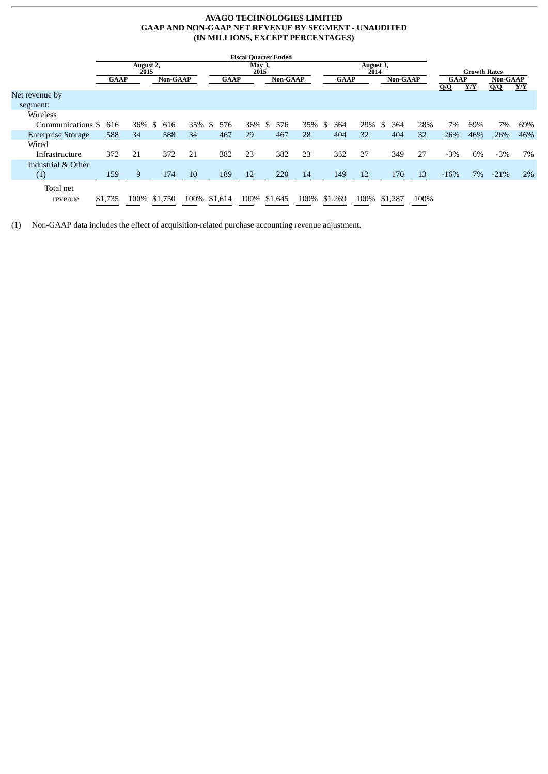# **AVAGO TECHNOLOGIES LIMITED GAAP AND NON-GAAP NET REVENUE BY SEGMENT - UNAUDITED (IN MILLIONS, EXCEPT PERCENTAGES)**

|                                      |             |                   |              |     |              |                   | <b>Fiscal Quarter Ended</b> |      |             |                   |                 |      |             |                     |                 |     |
|--------------------------------------|-------------|-------------------|--------------|-----|--------------|-------------------|-----------------------------|------|-------------|-------------------|-----------------|------|-------------|---------------------|-----------------|-----|
|                                      |             | August 2,<br>2015 |              |     |              | $M$ ay 3,<br>2015 |                             |      |             | August 3,<br>2014 |                 |      |             | <b>Growth Rates</b> |                 |     |
|                                      | <b>GAAP</b> |                   | Non-GAAP     |     | <b>GAAP</b>  |                   | <b>Non-GAAP</b>             |      | <b>GAAP</b> |                   | <b>Non-GAAP</b> |      | <b>GAAP</b> |                     | <b>Non-GAAP</b> |     |
| Net revenue by<br>segment:           |             |                   |              |     |              |                   |                             |      |             |                   |                 |      | Q/Q         | Y/Y                 | Q/Q             | Y/Y |
| <b>Wireless</b><br>Communications \$ | 616         | 36%               | - \$<br>616  | 35% | -S<br>576    | 36%               | -S<br>576                   | 35%  | -S<br>364   | 29%               | £.<br>364       | 28%  | 7%          | 69%                 | 7%              | 69% |
| <b>Enterprise Storage</b>            | 588         | 34                | 588          | 34  | 467          | 29                | 467                         | 28   | 404         | 32                | 404             | 32   | 26%         | 46%                 | 26%             | 46% |
| Wired<br>Infrastructure              | 372         | 21                | 372          | 21  | 382          | 23                | 382                         | 23   | 352         | 27                | 349             | 27   | $-3%$       | 6%                  | $-3%$           | 7%  |
| Industrial & Other<br>(1)            | 159         | 9                 | 174          | 10  | 189          | <sup>12</sup>     | 220                         | 14   | 149         | -12               | 170             | 13   | $-16%$      | 7%                  | $-21%$          | 2%  |
| Total net<br>revenue                 | \$1,735     |                   | 100% \$1,750 |     | 100% \$1,614 |                   | 100% \$1,645                | 100% | \$1,269     | 100%              | \$1,287         | 100% |             |                     |                 |     |

(1) Non-GAAP data includes the effect of acquisition-related purchase accounting revenue adjustment.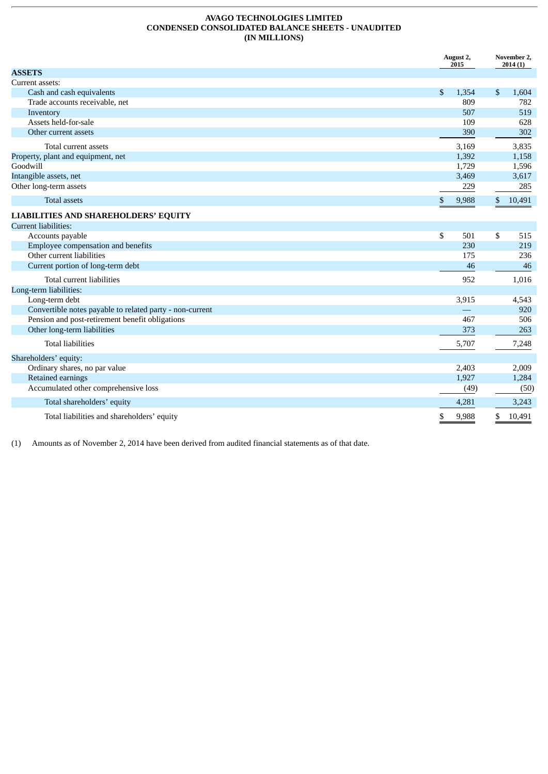# **AVAGO TECHNOLOGIES LIMITED CONDENSED CONSOLIDATED BALANCE SHEETS - UNAUDITED (IN MILLIONS)**

|                                                          | August 2,<br>2015 | November 2,<br>2014(1) |
|----------------------------------------------------------|-------------------|------------------------|
| <b>ASSETS</b>                                            |                   |                        |
| Current assets:                                          |                   |                        |
| Cash and cash equivalents                                | \$<br>1,354       | \$<br>1,604            |
| Trade accounts receivable, net                           | 809               | 782                    |
| Inventory                                                | 507               | 519                    |
| Assets held-for-sale                                     | 109               | 628                    |
| Other current assets                                     | 390               | 302                    |
| Total current assets                                     | 3,169             | 3,835                  |
| Property, plant and equipment, net                       | 1,392             | 1,158                  |
| Goodwill                                                 | 1,729             | 1,596                  |
| Intangible assets, net                                   | 3,469             | 3,617                  |
| Other long-term assets                                   | 229               | 285                    |
| <b>Total assets</b>                                      | \$<br>9,988       | \$<br>10,491           |
| <b>LIABILITIES AND SHAREHOLDERS' EQUITY</b>              |                   |                        |
| <b>Current liabilities:</b>                              |                   |                        |
| Accounts payable                                         | \$<br>501         | \$<br>515              |
| Employee compensation and benefits                       | 230               | 219                    |
| Other current liabilities                                | 175               | 236                    |
| Current portion of long-term debt                        | 46                | 46                     |
| Total current liabilities                                | 952               | 1,016                  |
| Long-term liabilities:                                   |                   |                        |
| Long-term debt                                           | 3,915             | 4,543                  |
| Convertible notes payable to related party - non-current |                   | 920                    |
| Pension and post-retirement benefit obligations          | 467               | 506                    |
| Other long-term liabilities                              | 373               | 263                    |
| <b>Total liabilities</b>                                 | 5,707             | 7,248                  |
| Shareholders' equity:                                    |                   |                        |
| Ordinary shares, no par value                            | 2,403             | 2,009                  |
| Retained earnings                                        | 1,927             | 1,284                  |
| Accumulated other comprehensive loss                     | (49)              | (50)                   |
| Total shareholders' equity                               | 4,281             | 3,243                  |
| Total liabilities and shareholders' equity               | \$<br>9,988       | \$<br>10,491           |

(1) Amounts as of November 2, 2014 have been derived from audited financial statements as of that date.